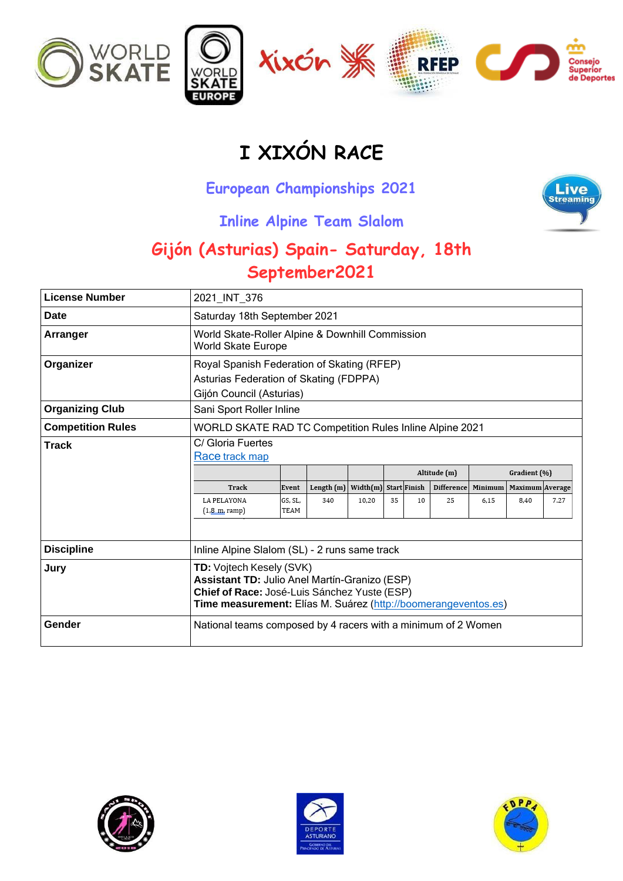

## **I XIXÓN RACE**

## **European Championships 2021**



## **Inline Alpine Team Slalom**

## **Gijón (Asturias) Spain- Saturday, 18th September2021**

| <b>License Number</b>    | 2021_INT_376                                                                                                                                                                                |                          |                     |                                |    |    |                                         |                 |                                         |      |
|--------------------------|---------------------------------------------------------------------------------------------------------------------------------------------------------------------------------------------|--------------------------|---------------------|--------------------------------|----|----|-----------------------------------------|-----------------|-----------------------------------------|------|
| Date                     | Saturday 18th September 2021                                                                                                                                                                |                          |                     |                                |    |    |                                         |                 |                                         |      |
| Arranger                 | World Skate-Roller Alpine & Downhill Commission<br><b>World Skate Europe</b>                                                                                                                |                          |                     |                                |    |    |                                         |                 |                                         |      |
| Organizer                | Royal Spanish Federation of Skating (RFEP)<br>Asturias Federation of Skating (FDPPA)<br>Gijón Council (Asturias)                                                                            |                          |                     |                                |    |    |                                         |                 |                                         |      |
| <b>Organizing Club</b>   | Sani Sport Roller Inline                                                                                                                                                                    |                          |                     |                                |    |    |                                         |                 |                                         |      |
| <b>Competition Rules</b> | <b>WORLD SKATE RAD TC Competition Rules Inline Alpine 2021</b>                                                                                                                              |                          |                     |                                |    |    |                                         |                 |                                         |      |
| <b>Track</b>             | C/ Gloria Fuertes<br>Race track map<br>Track<br>LA PELAYONA<br>(1, 8, m, ramp)                                                                                                              | Event<br>GS, SL,<br>TEAM | Length $(m)$<br>340 | Width(m) Start Finish<br>10.20 | 35 | 10 | Altitude (m)<br><b>Difference</b><br>25 | Minimum<br>6.15 | Gradient (%)<br>Maximum Average<br>8.40 | 7.27 |
| <b>Discipline</b>        | Inline Alpine Slalom (SL) - 2 runs same track                                                                                                                                               |                          |                     |                                |    |    |                                         |                 |                                         |      |
| Jury                     | TD: Vojtech Kesely (SVK)<br>Assistant TD: Julio Anel Martín-Granizo (ESP)<br>Chief of Race: José-Luis Sánchez Yuste (ESP)<br>Time measurement: Elías M. Suárez (http://boomerangeventos.es) |                          |                     |                                |    |    |                                         |                 |                                         |      |
| Gender                   | National teams composed by 4 racers with a minimum of 2 Women                                                                                                                               |                          |                     |                                |    |    |                                         |                 |                                         |      |





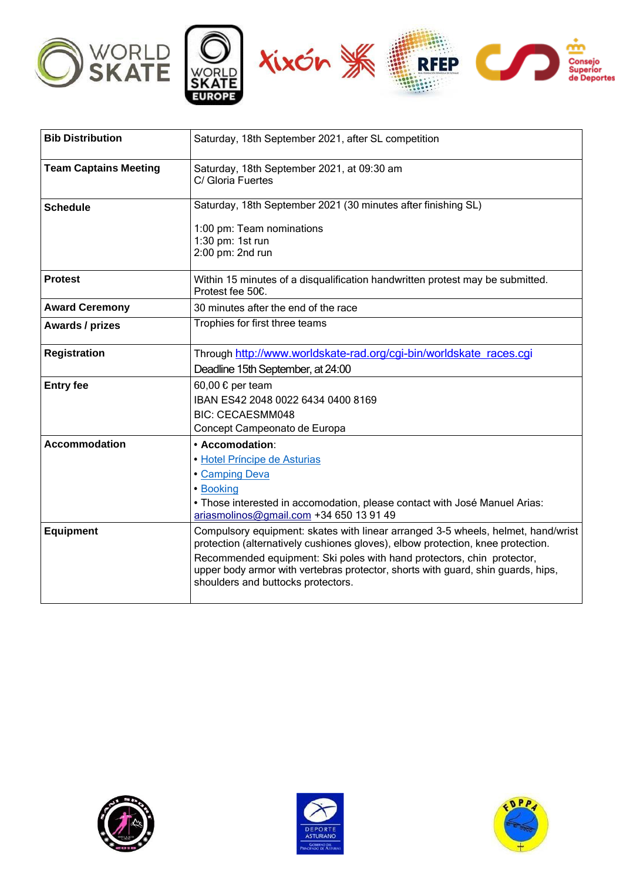





| <b>Bib Distribution</b>      | Saturday, 18th September 2021, after SL competition                                                                                                                                              |  |
|------------------------------|--------------------------------------------------------------------------------------------------------------------------------------------------------------------------------------------------|--|
| <b>Team Captains Meeting</b> | Saturday, 18th September 2021, at 09:30 am<br>C/ Gloria Fuertes                                                                                                                                  |  |
| <b>Schedule</b>              | Saturday, 18th September 2021 (30 minutes after finishing SL)                                                                                                                                    |  |
|                              | 1:00 pm: Team nominations<br>1:30 pm: 1st run<br>2:00 pm: 2nd run                                                                                                                                |  |
| <b>Protest</b>               | Within 15 minutes of a disqualification handwritten protest may be submitted.<br>Protest fee 50€.                                                                                                |  |
| <b>Award Ceremony</b>        | 30 minutes after the end of the race                                                                                                                                                             |  |
| Awards / prizes              | Trophies for first three teams                                                                                                                                                                   |  |
| <b>Registration</b>          | Through http://www.worldskate-rad.org/cgi-bin/worldskate races.cgi                                                                                                                               |  |
|                              | Deadline 15th September, at 24:00                                                                                                                                                                |  |
| <b>Entry fee</b>             | 60,00 € per team                                                                                                                                                                                 |  |
|                              | IBAN ES42 2048 0022 6434 0400 8169                                                                                                                                                               |  |
|                              | <b>BIC: CECAESMM048</b><br>Concept Campeonato de Europa                                                                                                                                          |  |
| <b>Accommodation</b>         | • Accomodation:                                                                                                                                                                                  |  |
|                              | · Hotel Príncipe de Asturias                                                                                                                                                                     |  |
|                              | • Camping Deva                                                                                                                                                                                   |  |
|                              | • Booking                                                                                                                                                                                        |  |
|                              | • Those interested in accomodation, please contact with José Manuel Arias:                                                                                                                       |  |
|                              | ariasmolinos@gmail.com +34 650 13 91 49                                                                                                                                                          |  |
| <b>Equipment</b>             | Compulsory equipment: skates with linear arranged 3-5 wheels, helmet, hand/wrist<br>protection (alternatively cushiones gloves), elbow protection, knee protection.                              |  |
|                              | Recommended equipment: Ski poles with hand protectors, chin protector,<br>upper body armor with vertebras protector, shorts with guard, shin guards, hips,<br>shoulders and buttocks protectors. |  |
|                              |                                                                                                                                                                                                  |  |